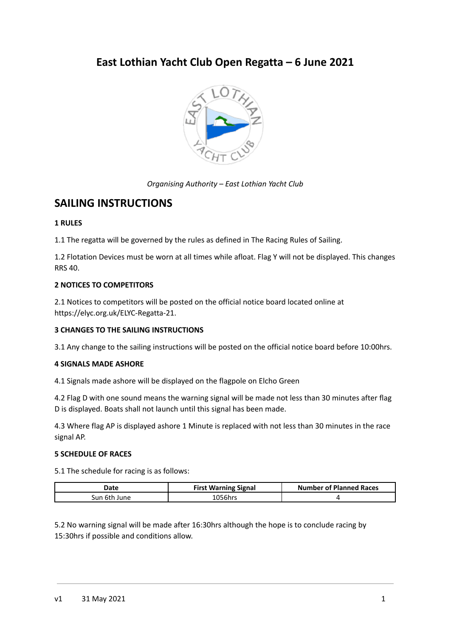# **East Lothian Yacht Club Open Regatta – 6 June 2021**



*Organising Authority – East Lothian Yacht Club*

## **SAILING INSTRUCTIONS**

## **1 RULES**

1.1 The regatta will be governed by the rules as defined in The Racing Rules of Sailing.

1.2 Flotation Devices must be worn at all times while afloat. Flag Y will not be displayed. This changes RRS 40.

## **2 NOTICES TO COMPETITORS**

2.1 Notices to competitors will be posted on the official notice board located online at https://elyc.org.uk/ELYC-Regatta-21.

## **3 CHANGES TO THE SAILING INSTRUCTIONS**

3.1 Any change to the sailing instructions will be posted on the official notice board before 10:00hrs.

### **4 SIGNALS MADE ASHORE**

4.1 Signals made ashore will be displayed on the flagpole on Elcho Green

4.2 Flag D with one sound means the warning signal will be made not less than 30 minutes after flag D is displayed. Boats shall not launch until this signal has been made.

4.3 Where flag AP is displayed ashore 1 Minute is replaced with not less than 30 minutes in the race signal AP.

## **5 SCHEDULE OF RACES**

5.1 The schedule for racing is as follows:

| Date         | <b>First Warning Signal</b> | <b>Number of Planned Races</b> |
|--------------|-----------------------------|--------------------------------|
| Sun 6th June | ` ባ56hrs                    |                                |

5.2 No warning signal will be made after 16:30hrs although the hope is to conclude racing by 15:30hrs if possible and conditions allow.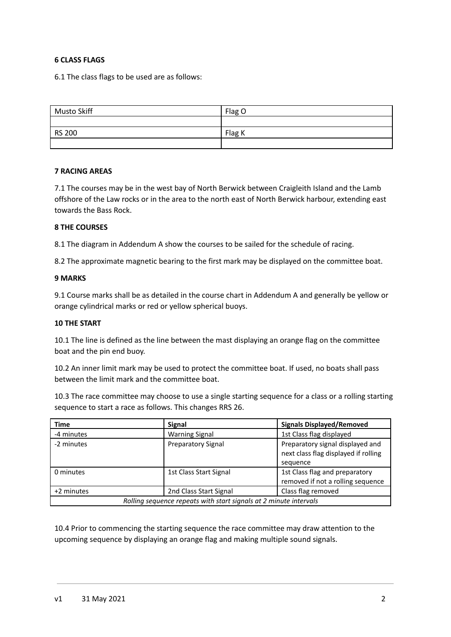## **6 CLASS FLAGS**

6.1 The class flags to be used are as follows:

| Musto Skiff   | Flag O |
|---------------|--------|
|               |        |
| <b>RS 200</b> | Flag K |
|               |        |

#### **7 RACING AREAS**

7.1 The courses may be in the west bay of North Berwick between Craigleith Island and the Lamb offshore of the Law rocks or in the area to the north east of North Berwick harbour, extending east towards the Bass Rock.

#### **8 THE COURSES**

8.1 The diagram in Addendum A show the courses to be sailed for the schedule of racing.

8.2 The approximate magnetic bearing to the first mark may be displayed on the committee boat.

#### **9 MARKS**

9.1 Course marks shall be as detailed in the course chart in Addendum A and generally be yellow or orange cylindrical marks or red or yellow spherical buoys.

#### **10 THE START**

10.1 The line is defined as the line between the mast displaying an orange flag on the committee boat and the pin end buoy.

10.2 An inner limit mark may be used to protect the committee boat. If used, no boats shall pass between the limit mark and the committee boat.

10.3 The race committee may choose to use a single starting sequence for a class or a rolling starting sequence to start a race as follows. This changes RRS 26.

| Time                                                              | <b>Signal</b>             | <b>Signals Displayed/Removed</b>     |  |
|-------------------------------------------------------------------|---------------------------|--------------------------------------|--|
| -4 minutes                                                        | <b>Warning Signal</b>     | 1st Class flag displayed             |  |
| -2 minutes                                                        | <b>Preparatory Signal</b> | Preparatory signal displayed and     |  |
|                                                                   |                           | next class flag displayed if rolling |  |
|                                                                   |                           | sequence                             |  |
| 0 minutes                                                         | 1st Class Start Signal    | 1st Class flag and preparatory       |  |
|                                                                   |                           | removed if not a rolling sequence    |  |
| +2 minutes                                                        | 2nd Class Start Signal    | Class flag removed                   |  |
| Rolling sequence repeats with start signals at 2 minute intervals |                           |                                      |  |

10.4 Prior to commencing the starting sequence the race committee may draw attention to the upcoming sequence by displaying an orange flag and making multiple sound signals.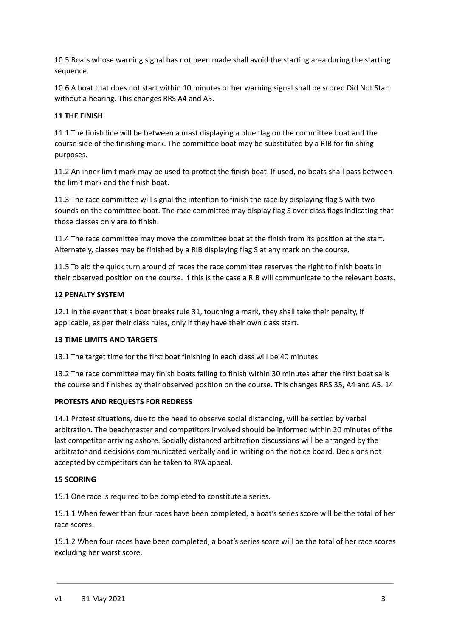10.5 Boats whose warning signal has not been made shall avoid the starting area during the starting sequence.

10.6 A boat that does not start within 10 minutes of her warning signal shall be scored Did Not Start without a hearing. This changes RRS A4 and A5.

## **11 THE FINISH**

11.1 The finish line will be between a mast displaying a blue flag on the committee boat and the course side of the finishing mark. The committee boat may be substituted by a RIB for finishing purposes.

11.2 An inner limit mark may be used to protect the finish boat. If used, no boats shall pass between the limit mark and the finish boat.

11.3 The race committee will signal the intention to finish the race by displaying flag S with two sounds on the committee boat. The race committee may display flag S over class flags indicating that those classes only are to finish.

11.4 The race committee may move the committee boat at the finish from its position at the start. Alternately, classes may be finished by a RIB displaying flag S at any mark on the course.

11.5 To aid the quick turn around of races the race committee reserves the right to finish boats in their observed position on the course. If this is the case a RIB will communicate to the relevant boats.

#### **12 PENALTY SYSTEM**

12.1 In the event that a boat breaks rule 31, touching a mark, they shall take their penalty, if applicable, as per their class rules, only if they have their own class start.

#### **13 TIME LIMITS AND TARGETS**

13.1 The target time for the first boat finishing in each class will be 40 minutes.

13.2 The race committee may finish boats failing to finish within 30 minutes after the first boat sails the course and finishes by their observed position on the course. This changes RRS 35, A4 and A5. 14

#### **PROTESTS AND REQUESTS FOR REDRESS**

14.1 Protest situations, due to the need to observe social distancing, will be settled by verbal arbitration. The beachmaster and competitors involved should be informed within 20 minutes of the last competitor arriving ashore. Socially distanced arbitration discussions will be arranged by the arbitrator and decisions communicated verbally and in writing on the notice board. Decisions not accepted by competitors can be taken to RYA appeal.

#### **15 SCORING**

15.1 One race is required to be completed to constitute a series.

15.1.1 When fewer than four races have been completed, a boat's series score will be the total of her race scores.

15.1.2 When four races have been completed, a boat's series score will be the total of her race scores excluding her worst score.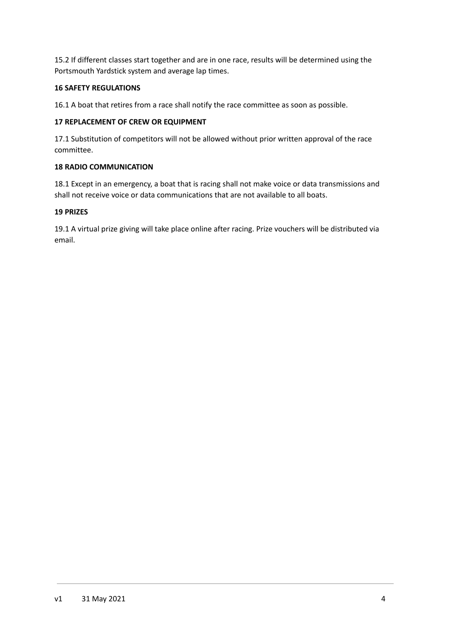15.2 If different classes start together and are in one race, results will be determined using the Portsmouth Yardstick system and average lap times.

## **16 SAFETY REGULATIONS**

16.1 A boat that retires from a race shall notify the race committee as soon as possible.

## **17 REPLACEMENT OF CREW OR EQUIPMENT**

17.1 Substitution of competitors will not be allowed without prior written approval of the race committee.

## **18 RADIO COMMUNICATION**

18.1 Except in an emergency, a boat that is racing shall not make voice or data transmissions and shall not receive voice or data communications that are not available to all boats.

## **19 PRIZES**

19.1 A virtual prize giving will take place online after racing. Prize vouchers will be distributed via email.